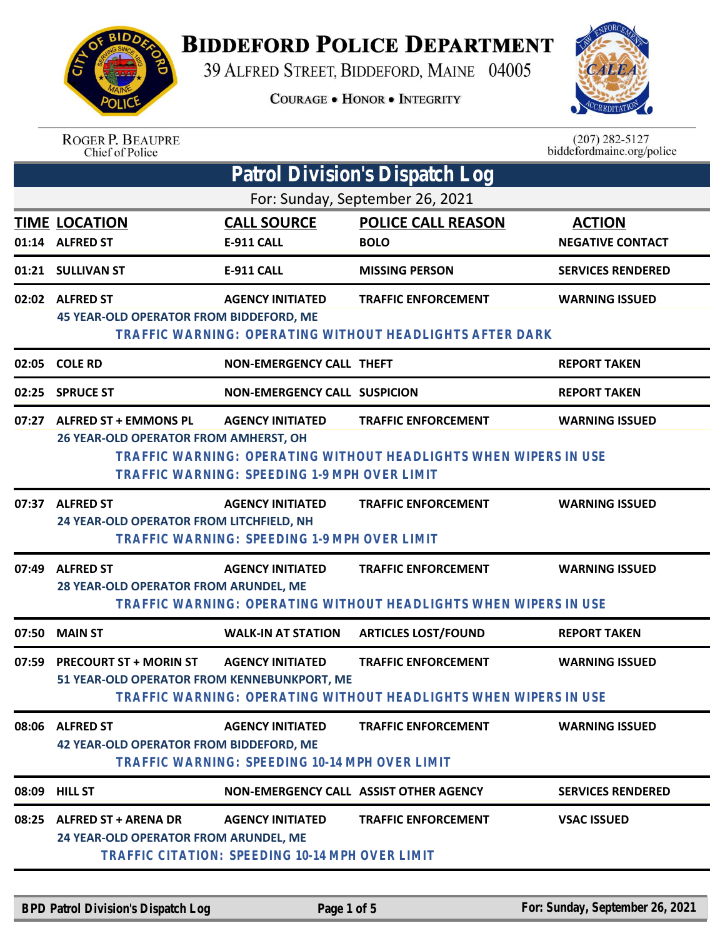

## **BIDDEFORD POLICE DEPARTMENT**

39 ALFRED STREET, BIDDEFORD, MAINE 04005

**COURAGE . HONOR . INTEGRITY** 



|       | <b>ROGER P. BEAUPRE</b><br>Chief of Police                                   |                                                                                     |                                                                                                | $(207) 282 - 5127$<br>biddefordmaine.org/police |
|-------|------------------------------------------------------------------------------|-------------------------------------------------------------------------------------|------------------------------------------------------------------------------------------------|-------------------------------------------------|
|       |                                                                              |                                                                                     | <b>Patrol Division's Dispatch Log</b>                                                          |                                                 |
|       |                                                                              |                                                                                     | For: Sunday, September 26, 2021                                                                |                                                 |
|       | <b>TIME LOCATION</b><br>01:14 ALFRED ST                                      | <b>CALL SOURCE</b><br><b>E-911 CALL</b>                                             | <b>POLICE CALL REASON</b><br><b>BOLO</b>                                                       | <b>ACTION</b><br><b>NEGATIVE CONTACT</b>        |
|       | 01:21 SULLIVAN ST                                                            | <b>E-911 CALL</b>                                                                   | <b>MISSING PERSON</b>                                                                          | <b>SERVICES RENDERED</b>                        |
|       | 02:02 ALFRED ST<br>45 YEAR-OLD OPERATOR FROM BIDDEFORD, ME                   | <b>AGENCY INITIATED</b><br>TRAFFIC WARNING: OPERATING WITHOUT HEADLIGHTS AFTER DARK | <b>TRAFFIC ENFORCEMENT</b>                                                                     | <b>WARNING ISSUED</b>                           |
|       | 02:05 COLE RD                                                                | <b>NON-EMERGENCY CALL THEFT</b>                                                     |                                                                                                | <b>REPORT TAKEN</b>                             |
|       | 02:25 SPRUCE ST                                                              | <b>NON-EMERGENCY CALL SUSPICION</b>                                                 |                                                                                                | <b>REPORT TAKEN</b>                             |
| 07:27 | <b>ALFRED ST + EMMONS PL</b><br>26 YEAR-OLD OPERATOR FROM AMHERST, OH        | <b>AGENCY INITIATED</b><br>TRAFFIC WARNING: SPEEDING 1-9 MPH OVER LIMIT             | <b>TRAFFIC ENFORCEMENT</b><br>TRAFFIC WARNING: OPERATING WITHOUT HEADLIGHTS WHEN WIPERS IN USE | <b>WARNING ISSUED</b>                           |
| 07:37 | <b>ALFRED ST</b><br>24 YEAR-OLD OPERATOR FROM LITCHFIELD, NH                 | <b>AGENCY INITIATED</b><br>TRAFFIC WARNING: SPEEDING 1-9 MPH OVER LIMIT             | <b>TRAFFIC ENFORCEMENT</b>                                                                     | <b>WARNING ISSUED</b>                           |
| 07:49 | <b>ALFRED ST</b><br>28 YEAR-OLD OPERATOR FROM ARUNDEL, ME                    | <b>AGENCY INITIATED</b>                                                             | <b>TRAFFIC ENFORCEMENT</b><br>TRAFFIC WARNING: OPERATING WITHOUT HEADLIGHTS WHEN WIPERS IN USE | <b>WARNING ISSUED</b>                           |
| 07:50 | <b>MAIN ST</b>                                                               | <b>WALK-IN AT STATION</b>                                                           | <b>ARTICLES LOST/FOUND</b>                                                                     | <b>REPORT TAKEN</b>                             |
| 07:59 | <b>PRECOURT ST + MORIN ST</b><br>51 YEAR-OLD OPERATOR FROM KENNEBUNKPORT, ME | <b>AGENCY INITIATED</b>                                                             | <b>TRAFFIC ENFORCEMENT</b><br>TRAFFIC WARNING: OPERATING WITHOUT HEADLIGHTS WHEN WIPERS IN USE | <b>WARNING ISSUED</b>                           |
|       | 08:06 ALFRED ST<br><b>42 YEAR-OLD OPERATOR FROM BIDDEFORD, ME</b>            | <b>AGENCY INITIATED</b><br>TRAFFIC WARNING: SPEEDING 10-14 MPH OVER LIMIT           | <b>TRAFFIC ENFORCEMENT</b>                                                                     | <b>WARNING ISSUED</b>                           |
| 08:09 | <b>HILL ST</b>                                                               |                                                                                     | NON-EMERGENCY CALL ASSIST OTHER AGENCY                                                         | <b>SERVICES RENDERED</b>                        |
| 08:25 | <b>ALFRED ST + ARENA DR</b><br>24 YEAR-OLD OPERATOR FROM ARUNDEL, ME         | <b>AGENCY INITIATED</b><br>TRAFFIC CITATION: SPEEDING 10-14 MPH OVER LIMIT          | <b>TRAFFIC ENFORCEMENT</b>                                                                     | <b>VSAC ISSUED</b>                              |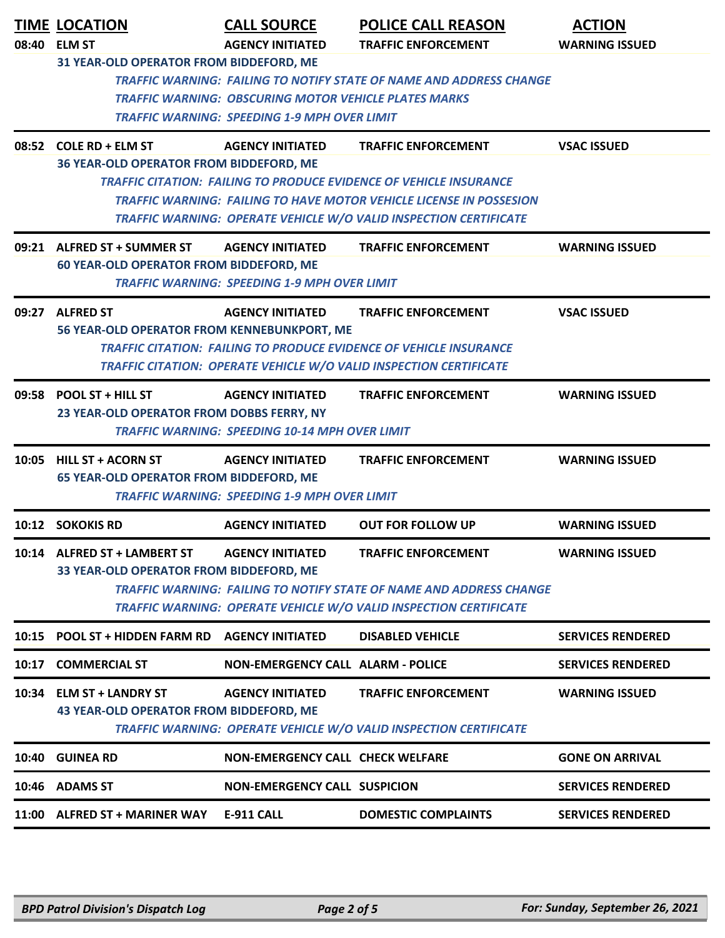|       | <b>TIME LOCATION</b><br>08:40 ELM ST                                          | <b>CALL SOURCE</b><br><b>AGENCY INITIATED</b>                | <b>POLICE CALL REASON</b><br><b>TRAFFIC ENFORCEMENT</b>                                                                                                 | <b>ACTION</b><br><b>WARNING ISSUED</b> |
|-------|-------------------------------------------------------------------------------|--------------------------------------------------------------|---------------------------------------------------------------------------------------------------------------------------------------------------------|----------------------------------------|
|       | 31 YEAR-OLD OPERATOR FROM BIDDEFORD, ME                                       |                                                              |                                                                                                                                                         |                                        |
|       |                                                                               |                                                              | <b>TRAFFIC WARNING: FAILING TO NOTIFY STATE OF NAME AND ADDRESS CHANGE</b>                                                                              |                                        |
|       |                                                                               | <b>TRAFFIC WARNING: OBSCURING MOTOR VEHICLE PLATES MARKS</b> |                                                                                                                                                         |                                        |
|       |                                                                               | <b>TRAFFIC WARNING: SPEEDING 1-9 MPH OVER LIMIT</b>          |                                                                                                                                                         |                                        |
|       | 08:52 COLE RD + ELM ST                                                        | <b>AGENCY INITIATED</b>                                      | <b>TRAFFIC ENFORCEMENT</b>                                                                                                                              | <b>VSAC ISSUED</b>                     |
|       | 36 YEAR-OLD OPERATOR FROM BIDDEFORD, ME                                       |                                                              |                                                                                                                                                         |                                        |
|       |                                                                               |                                                              | <b>TRAFFIC CITATION: FAILING TO PRODUCE EVIDENCE OF VEHICLE INSURANCE</b><br><b>TRAFFIC WARNING: FAILING TO HAVE MOTOR VEHICLE LICENSE IN POSSESION</b> |                                        |
|       |                                                                               |                                                              | TRAFFIC WARNING: OPERATE VEHICLE W/O VALID INSPECTION CERTIFICATE                                                                                       |                                        |
|       | 09:21 ALFRED ST + SUMMER ST<br><b>60 YEAR-OLD OPERATOR FROM BIDDEFORD, ME</b> | <b>AGENCY INITIATED</b>                                      | <b>TRAFFIC ENFORCEMENT</b>                                                                                                                              | <b>WARNING ISSUED</b>                  |
|       |                                                                               | <b>TRAFFIC WARNING: SPEEDING 1-9 MPH OVER LIMIT</b>          |                                                                                                                                                         |                                        |
|       | 09:27 ALFRED ST                                                               | <b>AGENCY INITIATED</b>                                      | <b>TRAFFIC ENFORCEMENT</b>                                                                                                                              | <b>VSAC ISSUED</b>                     |
|       | 56 YEAR-OLD OPERATOR FROM KENNEBUNKPORT, ME                                   |                                                              | <b>TRAFFIC CITATION: FAILING TO PRODUCE EVIDENCE OF VEHICLE INSURANCE</b>                                                                               |                                        |
|       |                                                                               |                                                              | TRAFFIC CITATION: OPERATE VEHICLE W/O VALID INSPECTION CERTIFICATE                                                                                      |                                        |
|       | 09:58 POOL ST + HILL ST                                                       | <b>AGENCY INITIATED</b>                                      | <b>TRAFFIC ENFORCEMENT</b>                                                                                                                              | <b>WARNING ISSUED</b>                  |
|       | 23 YEAR-OLD OPERATOR FROM DOBBS FERRY, NY                                     |                                                              |                                                                                                                                                         |                                        |
|       |                                                                               | <b>TRAFFIC WARNING: SPEEDING 10-14 MPH OVER LIMIT</b>        |                                                                                                                                                         |                                        |
| 10:05 | <b>HILL ST + ACORN ST</b>                                                     | <b>AGENCY INITIATED</b>                                      | <b>TRAFFIC ENFORCEMENT</b>                                                                                                                              | <b>WARNING ISSUED</b>                  |
|       | <b>65 YEAR-OLD OPERATOR FROM BIDDEFORD, ME</b>                                |                                                              |                                                                                                                                                         |                                        |
|       |                                                                               | <b>TRAFFIC WARNING: SPEEDING 1-9 MPH OVER LIMIT</b>          |                                                                                                                                                         |                                        |
|       | 10:12 SOKOKIS RD                                                              | <b>AGENCY INITIATED</b>                                      | <b>OUT FOR FOLLOW UP</b>                                                                                                                                | <b>WARNING ISSUED</b>                  |
|       | 10:14 ALFRED ST + LAMBERT ST<br>33 YEAR-OLD OPERATOR FROM BIDDEFORD, ME       | <b>AGENCY INITIATED</b>                                      | <b>TRAFFIC ENFORCEMENT</b>                                                                                                                              | <b>WARNING ISSUED</b>                  |
|       |                                                                               |                                                              | TRAFFIC WARNING: FAILING TO NOTIFY STATE OF NAME AND ADDRESS CHANGE                                                                                     |                                        |
|       |                                                                               |                                                              | TRAFFIC WARNING: OPERATE VEHICLE W/O VALID INSPECTION CERTIFICATE                                                                                       |                                        |
| 10:15 | POOL ST + HIDDEN FARM RD                                                      | <b>AGENCY INITIATED</b>                                      | <b>DISABLED VEHICLE</b>                                                                                                                                 | <b>SERVICES RENDERED</b>               |
| 10:17 | <b>COMMERCIAL ST</b>                                                          | <b>NON-EMERGENCY CALL ALARM - POLICE</b>                     |                                                                                                                                                         | <b>SERVICES RENDERED</b>               |
|       | 10:34 ELM ST + LANDRY ST                                                      | <b>AGENCY INITIATED</b>                                      | <b>TRAFFIC ENFORCEMENT</b>                                                                                                                              | <b>WARNING ISSUED</b>                  |
|       | <b>43 YEAR-OLD OPERATOR FROM BIDDEFORD, ME</b>                                |                                                              | TRAFFIC WARNING: OPERATE VEHICLE W/O VALID INSPECTION CERTIFICATE                                                                                       |                                        |
|       | 10:40 GUINEA RD                                                               | NON-EMERGENCY CALL CHECK WELFARE                             |                                                                                                                                                         | <b>GONE ON ARRIVAL</b>                 |
|       | 10:46 ADAMS ST                                                                | <b>NON-EMERGENCY CALL SUSPICION</b>                          |                                                                                                                                                         | <b>SERVICES RENDERED</b>               |
|       | 11:00 ALFRED ST + MARINER WAY                                                 | <b>E-911 CALL</b>                                            | <b>DOMESTIC COMPLAINTS</b>                                                                                                                              | <b>SERVICES RENDERED</b>               |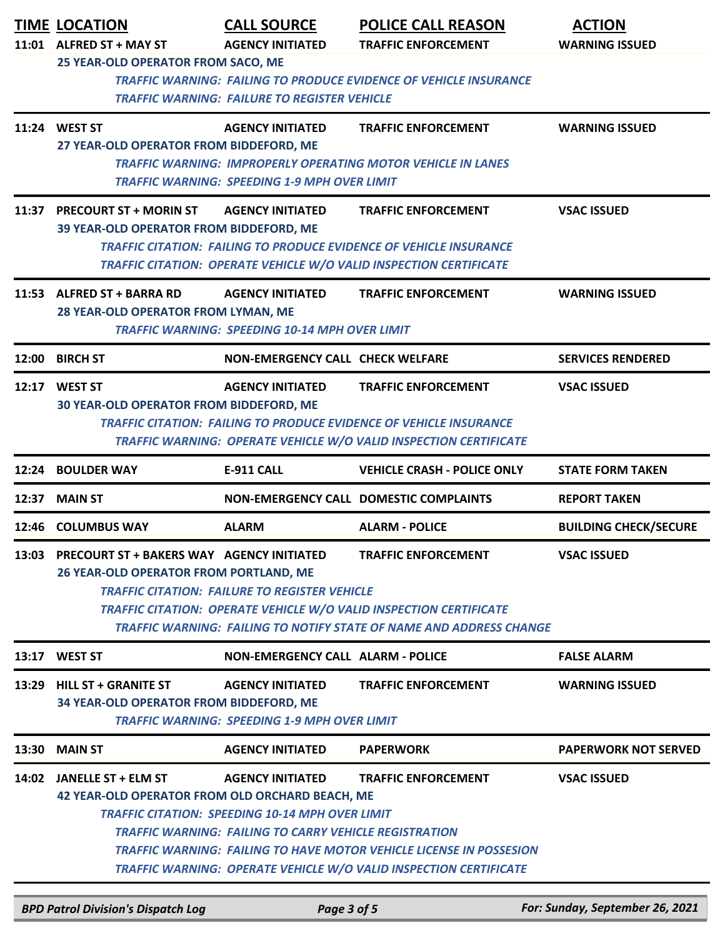|       | <b>TIME LOCATION</b><br>11:01 ALFRED ST + MAY ST                                                                                                                                                                                                                                                                     | <b>CALL SOURCE</b><br><b>AGENCY INITIATED</b>                                                                                               | <b>POLICE CALL REASON</b><br><b>TRAFFIC ENFORCEMENT</b>                                                                                                                              | <b>ACTION</b><br><b>WARNING ISSUED</b> |
|-------|----------------------------------------------------------------------------------------------------------------------------------------------------------------------------------------------------------------------------------------------------------------------------------------------------------------------|---------------------------------------------------------------------------------------------------------------------------------------------|--------------------------------------------------------------------------------------------------------------------------------------------------------------------------------------|----------------------------------------|
|       | 25 YEAR-OLD OPERATOR FROM SACO, ME                                                                                                                                                                                                                                                                                   | <b>TRAFFIC WARNING: FAILURE TO REGISTER VEHICLE</b>                                                                                         | <b>TRAFFIC WARNING: FAILING TO PRODUCE EVIDENCE OF VEHICLE INSURANCE</b>                                                                                                             |                                        |
|       | 11:24 WEST ST<br>27 YEAR-OLD OPERATOR FROM BIDDEFORD, ME                                                                                                                                                                                                                                                             | <b>AGENCY INITIATED</b><br><b>TRAFFIC WARNING: SPEEDING 1-9 MPH OVER LIMIT</b>                                                              | <b>TRAFFIC ENFORCEMENT</b><br><b>TRAFFIC WARNING: IMPROPERLY OPERATING MOTOR VEHICLE IN LANES</b>                                                                                    | <b>WARNING ISSUED</b>                  |
|       | 11:37 PRECOURT ST + MORIN ST<br>39 YEAR-OLD OPERATOR FROM BIDDEFORD, ME                                                                                                                                                                                                                                              | <b>AGENCY INITIATED</b>                                                                                                                     | <b>TRAFFIC ENFORCEMENT</b><br><b>TRAFFIC CITATION: FAILING TO PRODUCE EVIDENCE OF VEHICLE INSURANCE</b><br><b>TRAFFIC CITATION: OPERATE VEHICLE W/O VALID INSPECTION CERTIFICATE</b> | <b>VSAC ISSUED</b>                     |
|       | 11:53 ALFRED ST + BARRA RD<br>28 YEAR-OLD OPERATOR FROM LYMAN, ME                                                                                                                                                                                                                                                    | <b>AGENCY INITIATED</b><br><b>TRAFFIC WARNING: SPEEDING 10-14 MPH OVER LIMIT</b>                                                            | <b>TRAFFIC ENFORCEMENT</b>                                                                                                                                                           | <b>WARNING ISSUED</b>                  |
| 12:00 | <b>BIRCH ST</b>                                                                                                                                                                                                                                                                                                      | <b>NON-EMERGENCY CALL CHECK WELFARE</b>                                                                                                     |                                                                                                                                                                                      | <b>SERVICES RENDERED</b>               |
| 12:17 | <b>WEST ST</b><br>30 YEAR-OLD OPERATOR FROM BIDDEFORD, ME                                                                                                                                                                                                                                                            | <b>AGENCY INITIATED</b>                                                                                                                     | <b>TRAFFIC ENFORCEMENT</b><br><b>TRAFFIC CITATION: FAILING TO PRODUCE EVIDENCE OF VEHICLE INSURANCE</b><br><b>TRAFFIC WARNING: OPERATE VEHICLE W/O VALID INSPECTION CERTIFICATE</b>  | <b>VSAC ISSUED</b>                     |
| 12:24 | <b>BOULDER WAY</b>                                                                                                                                                                                                                                                                                                   | <b>E-911 CALL</b>                                                                                                                           | <b>VEHICLE CRASH - POLICE ONLY</b>                                                                                                                                                   | <b>STATE FORM TAKEN</b>                |
| 12:37 | <b>MAIN ST</b>                                                                                                                                                                                                                                                                                                       |                                                                                                                                             | <b>NON-EMERGENCY CALL DOMESTIC COMPLAINTS</b>                                                                                                                                        | <b>REPORT TAKEN</b>                    |
| 12:46 | <b>COLUMBUS WAY</b>                                                                                                                                                                                                                                                                                                  | <b>ALARM</b>                                                                                                                                | <b>ALARM - POLICE</b>                                                                                                                                                                | <b>BUILDING CHECK/SECURE</b>           |
| 13:03 | <b>PRECOURT ST + BAKERS WAY AGENCY INITIATED</b><br><b>26 YEAR-OLD OPERATOR FROM PORTLAND, ME</b><br><b>TRAFFIC CITATION: FAILURE TO REGISTER VEHICLE</b><br><b>TRAFFIC CITATION: OPERATE VEHICLE W/O VALID INSPECTION CERTIFICATE</b><br><b>TRAFFIC WARNING: FAILING TO NOTIFY STATE OF NAME AND ADDRESS CHANGE</b> | <b>VSAC ISSUED</b>                                                                                                                          |                                                                                                                                                                                      |                                        |
|       | 13:17 WEST ST                                                                                                                                                                                                                                                                                                        | <b>NON-EMERGENCY CALL ALARM - POLICE</b>                                                                                                    |                                                                                                                                                                                      | <b>FALSE ALARM</b>                     |
| 13:29 | <b>HILL ST + GRANITE ST</b><br>34 YEAR-OLD OPERATOR FROM BIDDEFORD, ME                                                                                                                                                                                                                                               | <b>AGENCY INITIATED</b><br><b>TRAFFIC WARNING: SPEEDING 1-9 MPH OVER LIMIT</b>                                                              | <b>TRAFFIC ENFORCEMENT</b>                                                                                                                                                           | <b>WARNING ISSUED</b>                  |
| 13:30 | <b>MAIN ST</b>                                                                                                                                                                                                                                                                                                       | <b>AGENCY INITIATED</b>                                                                                                                     | <b>PAPERWORK</b>                                                                                                                                                                     | <b>PAPERWORK NOT SERVED</b>            |
|       | 14:02 JANELLE ST + ELM ST<br>42 YEAR-OLD OPERATOR FROM OLD ORCHARD BEACH, ME                                                                                                                                                                                                                                         | <b>AGENCY INITIATED</b><br><b>TRAFFIC CITATION: SPEEDING 10-14 MPH OVER LIMIT</b><br>TRAFFIC WARNING: FAILING TO CARRY VEHICLE REGISTRATION | <b>TRAFFIC ENFORCEMENT</b><br><b>TRAFFIC WARNING: FAILING TO HAVE MOTOR VEHICLE LICENSE IN POSSESION</b><br>TRAFFIC WARNING: OPERATE VEHICLE W/O VALID INSPECTION CERTIFICATE        | <b>VSAC ISSUED</b>                     |

*BPD Patrol Division's Dispatch Log Page 3 of 5 For: Sunday, September 26, 2021*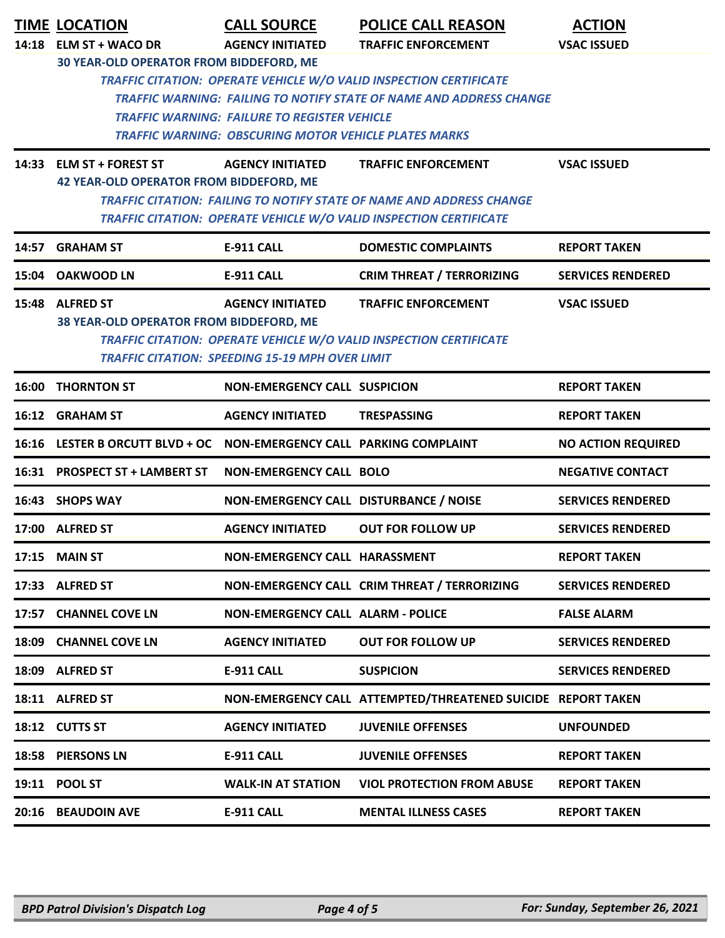|       | <b>TIME LOCATION</b>                                       | <b>CALL SOURCE</b>                                                                                                  | <b>POLICE CALL REASON</b>                                                                                                                               | <b>ACTION</b>             |
|-------|------------------------------------------------------------|---------------------------------------------------------------------------------------------------------------------|---------------------------------------------------------------------------------------------------------------------------------------------------------|---------------------------|
|       | 14:18 ELM ST + WACO DR                                     | <b>AGENCY INITIATED</b>                                                                                             | <b>TRAFFIC ENFORCEMENT</b>                                                                                                                              | <b>VSAC ISSUED</b>        |
|       | 30 YEAR-OLD OPERATOR FROM BIDDEFORD, ME                    | <b>TRAFFIC WARNING: FAILURE TO REGISTER VEHICLE</b><br><b>TRAFFIC WARNING: OBSCURING MOTOR VEHICLE PLATES MARKS</b> | <b>TRAFFIC CITATION: OPERATE VEHICLE W/O VALID INSPECTION CERTIFICATE</b><br><b>TRAFFIC WARNING: FAILING TO NOTIFY STATE OF NAME AND ADDRESS CHANGE</b> |                           |
|       | 14:33 ELM ST + FOREST ST                                   | <b>AGENCY INITIATED</b>                                                                                             | <b>TRAFFIC ENFORCEMENT</b>                                                                                                                              | <b>VSAC ISSUED</b>        |
|       | <b>42 YEAR-OLD OPERATOR FROM BIDDEFORD, ME</b>             |                                                                                                                     | <b>TRAFFIC CITATION: FAILING TO NOTIFY STATE OF NAME AND ADDRESS CHANGE</b><br>TRAFFIC CITATION: OPERATE VEHICLE W/O VALID INSPECTION CERTIFICATE       |                           |
| 14:57 | <b>GRAHAM ST</b>                                           | <b>E-911 CALL</b>                                                                                                   | <b>DOMESTIC COMPLAINTS</b>                                                                                                                              | <b>REPORT TAKEN</b>       |
| 15:04 | <b>OAKWOOD LN</b>                                          | <b>E-911 CALL</b>                                                                                                   | <b>CRIM THREAT / TERRORIZING</b>                                                                                                                        | <b>SERVICES RENDERED</b>  |
|       | 15:48 ALFRED ST<br>38 YEAR-OLD OPERATOR FROM BIDDEFORD, ME | <b>AGENCY INITIATED</b><br><b>TRAFFIC CITATION: SPEEDING 15-19 MPH OVER LIMIT</b>                                   | <b>TRAFFIC ENFORCEMENT</b><br>TRAFFIC CITATION: OPERATE VEHICLE W/O VALID INSPECTION CERTIFICATE                                                        | <b>VSAC ISSUED</b>        |
| 16:00 | <b>THORNTON ST</b>                                         | <b>NON-EMERGENCY CALL SUSPICION</b>                                                                                 |                                                                                                                                                         | <b>REPORT TAKEN</b>       |
| 16:12 | <b>GRAHAM ST</b>                                           | <b>AGENCY INITIATED</b>                                                                                             | <b>TRESPASSING</b>                                                                                                                                      | <b>REPORT TAKEN</b>       |
|       | 16:16 LESTER B ORCUTT BLVD + OC                            | NON-EMERGENCY CALL PARKING COMPLAINT                                                                                |                                                                                                                                                         | <b>NO ACTION REQUIRED</b> |
|       | 16:31 PROSPECT ST + LAMBERT ST                             | <b>NON-EMERGENCY CALL BOLO</b>                                                                                      |                                                                                                                                                         | <b>NEGATIVE CONTACT</b>   |
|       | 16:43 SHOPS WAY                                            | NON-EMERGENCY CALL DISTURBANCE / NOISE                                                                              |                                                                                                                                                         | <b>SERVICES RENDERED</b>  |
| 17:00 | <b>ALFRED ST</b>                                           | <b>AGENCY INITIATED</b>                                                                                             | <b>OUT FOR FOLLOW UP</b>                                                                                                                                | <b>SERVICES RENDERED</b>  |
|       | <b>17:15 MAIN ST</b>                                       | <b>NON-EMERGENCY CALL HARASSMENT</b>                                                                                |                                                                                                                                                         | <b>REPORT TAKEN</b>       |
|       | 17:33 ALFRED ST                                            |                                                                                                                     | NON-EMERGENCY CALL CRIM THREAT / TERRORIZING                                                                                                            | <b>SERVICES RENDERED</b>  |
|       | 17:57 CHANNEL COVE LN                                      | <b>NON-EMERGENCY CALL ALARM - POLICE</b>                                                                            |                                                                                                                                                         | <b>FALSE ALARM</b>        |
|       | 18:09 CHANNEL COVE LN                                      | <b>AGENCY INITIATED</b>                                                                                             | <b>OUT FOR FOLLOW UP</b>                                                                                                                                | <b>SERVICES RENDERED</b>  |
|       | 18:09 ALFRED ST                                            | <b>E-911 CALL</b>                                                                                                   | <b>SUSPICION</b>                                                                                                                                        | <b>SERVICES RENDERED</b>  |
|       | 18:11 ALFRED ST                                            |                                                                                                                     | NON-EMERGENCY CALL ATTEMPTED/THREATENED SUICIDE REPORT TAKEN                                                                                            |                           |
|       | 18:12 CUTTS ST                                             | <b>AGENCY INITIATED</b>                                                                                             | <b>JUVENILE OFFENSES</b>                                                                                                                                | <b>UNFOUNDED</b>          |
|       | 18:58 PIERSONS LN                                          | <b>E-911 CALL</b>                                                                                                   | <b>JUVENILE OFFENSES</b>                                                                                                                                | <b>REPORT TAKEN</b>       |
|       | 19:11 POOL ST                                              | <b>WALK-IN AT STATION</b>                                                                                           | <b>VIOL PROTECTION FROM ABUSE</b>                                                                                                                       | <b>REPORT TAKEN</b>       |
|       | 20:16 BEAUDOIN AVE                                         | <b>E-911 CALL</b>                                                                                                   | <b>MENTAL ILLNESS CASES</b>                                                                                                                             | <b>REPORT TAKEN</b>       |
|       |                                                            |                                                                                                                     |                                                                                                                                                         |                           |